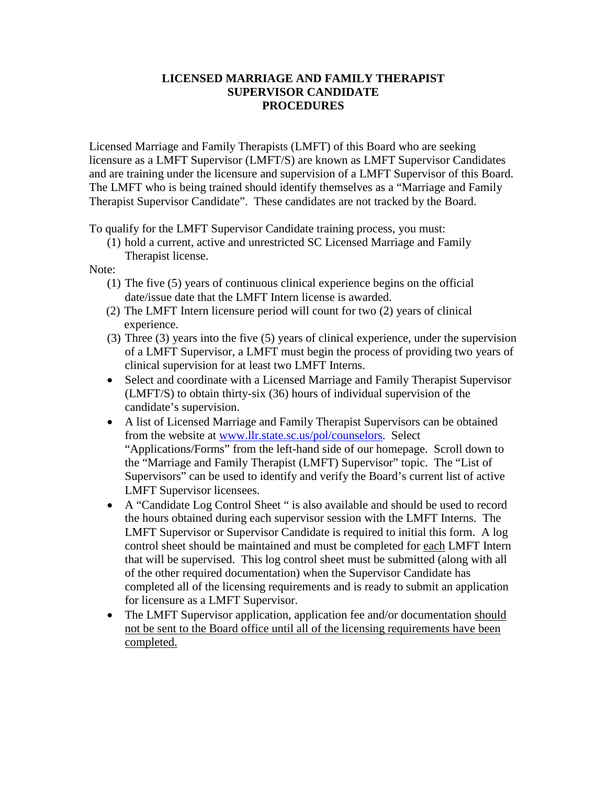## **LICENSED MARRIAGE AND FAMILY THERAPIST SUPERVISOR CANDIDATE PROCEDURES**

Licensed Marriage and Family Therapists (LMFT) of this Board who are seeking licensure as a LMFT Supervisor (LMFT/S) are known as LMFT Supervisor Candidates and are training under the licensure and supervision of a LMFT Supervisor of this Board. The LMFT who is being trained should identify themselves as a "Marriage and Family Therapist Supervisor Candidate". These candidates are not tracked by the Board.

To qualify for the LMFT Supervisor Candidate training process, you must:

(1) hold a current, active and unrestricted SC Licensed Marriage and Family Therapist license.

## Note:

- (1) The five (5) years of continuous clinical experience begins on the official date/issue date that the LMFT Intern license is awarded.
- (2) The LMFT Intern licensure period will count for two (2) years of clinical experience.
- (3) Three (3) years into the five (5) years of clinical experience, under the supervision of a LMFT Supervisor, a LMFT must begin the process of providing two years of clinical supervision for at least two LMFT Interns.
- Select and coordinate with a Licensed Marriage and Family Therapist Supervisor (LMFT/S) to obtain thirty-six (36) hours of individual supervision of the candidate's supervision.
- A list of Licensed Marriage and Family Therapist Supervisors can be obtained from the website at [www.llr.state.sc.us/pol/counselors.](http://www.llr.state.sc.us/pol/counselors) Select "Applications/Forms" from the left-hand side of our homepage. Scroll down to the "Marriage and Family Therapist (LMFT) Supervisor" topic. The "List of Supervisors" can be used to identify and verify the Board's current list of active LMFT Supervisor licensees.
- A "Candidate Log Control Sheet " is also available and should be used to record the hours obtained during each supervisor session with the LMFT Interns. The LMFT Supervisor or Supervisor Candidate is required to initial this form. A log control sheet should be maintained and must be completed for each LMFT Intern that will be supervised. This log control sheet must be submitted (along with all of the other required documentation) when the Supervisor Candidate has completed all of the licensing requirements and is ready to submit an application for licensure as a LMFT Supervisor.
- The LMFT Supervisor application, application fee and/or documentation should not be sent to the Board office until all of the licensing requirements have been completed.